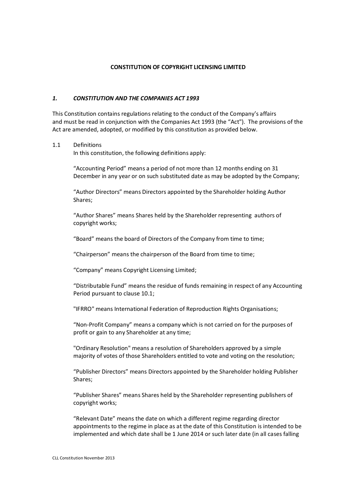#### **CONSTITUTION OF COPYRIGHT LICENSING LIMITED**

#### *1. CONSTITUTION AND THE COMPANIES ACT 1993*

This Constitution contains regulations relating to the conduct of the Company's affairs and must be read in conjunction with the Companies Act 1993 (the "Act"). The provisions of the Act are amended, adopted, or modified by this constitution as provided below.

#### 1.1 Definitions

In this constitution, the following definitions apply:

"Accounting Period" means a period of not more than 12 months ending on 31 December in any year or on such substituted date as may be adopted by the Company;

"Author Directors" means Directors appointed by the Shareholder holding Author Shares;

"Author Shares" means Shares held by the Shareholder representing authors of copyright works;

"Board" means the board of Directors of the Company from time to time;

"Chairperson" means the chairperson of the Board from time to time;

"Company" means Copyright Licensing Limited;

"Distributable Fund" means the residue of funds remaining in respect of any Accounting Period pursuant to clause 10.1;

"IFRRO" means International Federation of Reproduction Rights Organisations;

"Non-Profit Company" means a company which is not carried on for the purposes of profit or gain to any Shareholder at any time;

"Ordinary Resolution" means a resolution of Shareholders approved by a simple majority of votes of those Shareholders entitled to vote and voting on the resolution;

"Publisher Directors" means Directors appointed by the Shareholder holding Publisher Shares;

"Publisher Shares" means Shares held by the Shareholder representing publishers of copyright works;

"Relevant Date" means the date on which a different regime regarding director appointments to the regime in place as at the date of this Constitution is intended to be implemented and which date shall be 1 June 2014 or such later date (in all cases falling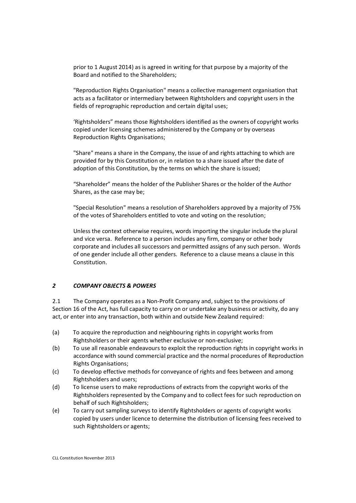prior to 1 August 2014) as is agreed in writing for that purpose by a majority of the Board and notified to the Shareholders;

"Reproduction Rights Organisation" means a collective management organisation that acts as a facilitator or intermediary between Rightsholders and copyright users in the fields of reprographic reproduction and certain digital uses;

'Rightsholders" means those Rightsholders identified as the owners of copyright works copied under licensing schemes administered by the Company or by overseas Reproduction Rights Organisations;

"Share" means a share in the Company, the issue of and rights attaching to which are provided for by this Constitution or, in relation to a share issued after the date of adoption of this Constitution, by the terms on which the share is issued;

"Shareholder" means the holder of the Publisher Shares or the holder of the Author Shares, as the case may be;

"Special Resolution" means a resolution of Shareholders approved by a majority of 75% of the votes of Shareholders entitled to vote and voting on the resolution;

Unless the context otherwise requires, words importing the singular include the plural and vice versa. Reference to a person includes any firm, company or other body corporate and includes all successors and permitted assigns of any such person. Words of one gender include all other genders. Reference to a clause means a clause in this Constitution.

#### *2 COMPANY OBJECTS & POWERS*

2.1 The Company operates as a Non-Profit Company and, subject to the provisions of Section 16 of the Act, has full capacity to carry on or undertake any business or activity, do any act, or enter into any transaction, both within and outside New Zealand required:

- (a) To acquire the reproduction and neighbouring rights in copyright works from Rightsholders or their agents whether exclusive or non-exclusive;
- (b) To use all reasonable endeavours to exploit the reproduction rights in copyright works in accordance with sound commercial practice and the normal procedures of Reproduction Rights Organisations;
- (c) To develop effective methods for conveyance of rights and fees between and among Rightsholders and users;
- (d) To license users to make reproductions of extracts from the copyright works of the Rightsholders represented by the Company and to collect fees for such reproduction on behalf of such Rightsholders;
- (e) To carry out sampling surveys to identify Rightsholders or agents of copyright works copied by users under licence to determine the distribution of licensing fees received to such Rightsholders or agents;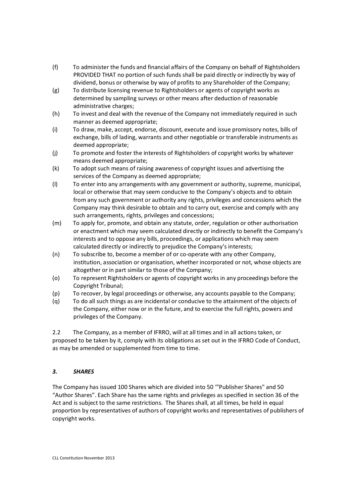- (f) To administer the funds and financial affairs of the Company on behalf of Rightsholders PROVIDED THAT no portion of such funds shall be paid directly or indirectly by way of dividend, bonus or otherwise by way of profits to any Shareholder of the Company;
- (g) To distribute licensing revenue to Rightsholders or agents of copyright works as determined by sampling surveys or other means after deduction of reasonable administrative charges;
- (h) To invest and deal with the revenue of the Company not immediately required in such manner as deemed appropriate;
- (i) To draw, make, accept, endorse, discount, execute and issue promissory notes, bills of exchange, bills of lading, warrants and other negotiable or transferable instruments as deemed appropriate;
- (j) To promote and foster the interests of Rightsholders of copyright works by whatever means deemed appropriate;
- (k) To adopt such means of raising awareness of copyright issues and advertising the services of the Company as deemed appropriate;
- (l) To enter into any arrangements with any government or authority, supreme, municipal, local or otherwise that may seem conducive to the Company's objects and to obtain from any such government or authority any rights, privileges and concessions which the Company may think desirable to obtain and to carry out, exercise and comply with any such arrangements, rights, privileges and concessions;
- (m) To apply for, promote, and obtain any statute, order, regulation or other authorisation or enactment which may seem calculated directly or indirectly to benefit the Company's interests and to oppose any bills, proceedings, or applications which may seem calculated directly or indirectly to prejudice the Company's interests;
- (n) To subscribe to, become a member of or co-operate with any other Company, institution, association or organisation, whether incorporated or not, whose objects are altogether or in part similar to those of the Company;
- (o) To represent Rightsholders or agents of copyright works in any proceedings before the Copyright Tribunal;
- (p) To recover, by legal proceedings or otherwise, any accounts payable to the Company;
- (q) To do all such things as are incidental or conducive to the attainment of the objects of the Company, either now or in the future, and to exercise the full rights, powers and privileges of the Company.

2.2 The Company, as a member of IFRRO, will at all times and in all actions taken, or proposed to be taken by it, comply with its obligations as set out in the IFRRO Code of Conduct, as may be amended or supplemented from time to time.

# *3. SHARES*

The Company has issued 100 Shares which are divided into 50 '"Publisher Shares" and 50 "Author Shares". Each Share has the same rights and privileges as specified in section 36 of the Act and is subject to the same restrictions. The Shares shall, at all times, be held in equal proportion by representatives of authors of copyright works and representatives of publishers of copyright works.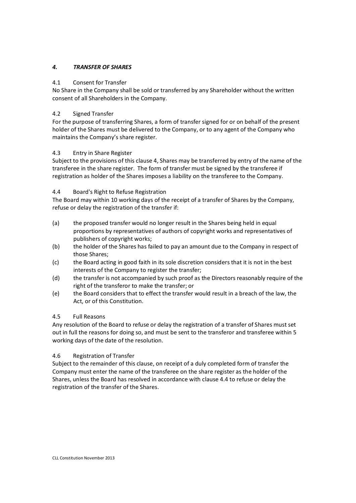## *4. TRANSFER OF SHARES*

#### 4.1 Consent for Transfer

No Share in the Company shall be sold or transferred by any Shareholder without the written consent of all Shareholders in the Company.

### 4.2 Signed Transfer

For the purpose of transferring Shares, a form of transfer signed for or on behalf of the present holder of the Shares must be delivered to the Company, or to any agent of the Company who maintains the Company's share register.

### 4.3 Entry in Share Register

Subject to the provisions of this clause 4, Shares may be transferred by entry of the name of the transferee in the share register. The form of transfer must be signed by the transferee if registration as holder of the Shares imposes a liability on the transferee to the Company.

### 4.4 Board's Right to Refuse Registration

The Board may within 10 working days of the receipt of a transfer of Shares by the Company, refuse or delay the registration of the transfer if:

- (a) the proposed transfer would no longer result in the Shares being held in equal proportions by representatives of authors of copyright works and representatives of publishers of copyright works;
- (b) the holder of the Shares has failed to pay an amount due to the Company in respect of those Shares;
- (c) the Board acting in good faith in its sole discretion considers that it is not in the best interests of the Company to register the transfer;
- (d) the transfer is not accompanied by such proof as the Directors reasonably require of the right of the transferor to make the transfer; or
- (e) the Board considers that to effect the transfer would result in a breach of the law, the Act, or of this Constitution.

# 4.5 Full Reasons

Any resolution of the Board to refuse or delay the registration of a transfer of Shares must set out in full the reasons for doing so, and must be sent to the transferor and transferee within 5 working days of the date of the resolution.

# 4.6 Registration of Transfer

Subject to the remainder of this clause, on receipt of a duly completed form of transfer the Company must enter the name of the transferee on the share register as the holder of the Shares, unless the Board has resolved in accordance with clause 4.4 to refuse or delay the registration of the transfer of the Shares.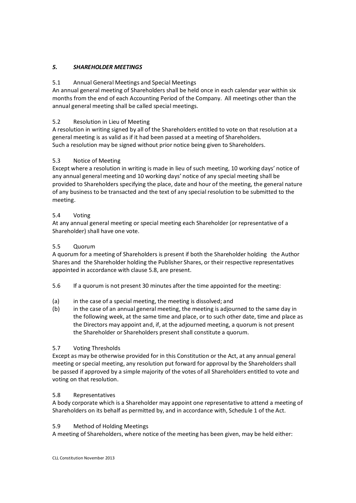## *5. SHAREHOLDER MEETINGS*

### 5.1 Annual General Meetings and Special Meetings

An annual general meeting of Shareholders shall be held once in each calendar year within six months from the end of each Accounting Period of the Company. All meetings other than the annual general meeting shall be called special meetings.

### 5.2 Resolution in Lieu of Meeting

A resolution in writing signed by all of the Shareholders entitled to vote on that resolution at a general meeting is as valid as if it had been passed at a meeting of Shareholders. Such a resolution may be signed without prior notice being given to Shareholders.

### 5.3 Notice of Meeting

Except where a resolution in writing is made in lieu of such meeting, 10 working days' notice of any annual general meeting and 10 working days' notice of any special meeting shall be provided to Shareholders specifying the place, date and hour of the meeting, the general nature of any business to be transacted and the text of any special resolution to be submitted to the meeting.

### 5.4 Voting

At any annual general meeting or special meeting each Shareholder (or representative of a Shareholder) shall have one vote.

### 5.5 Quorum

A quorum for a meeting of Shareholders is present if both the Shareholder holding the Author Shares and the Shareholder holding the Publisher Shares, or their respective representatives appointed in accordance with clause 5.8, are present.

- 5.6 If a quorum is not present 30 minutes after the time appointed for the meeting:
- (a) in the case of a special meeting, the meeting is dissolved; and
- (b) in the case of an annual general meeting, the meeting is adjourned to the same day in the following week, at the same time and place, or to such other date, time and place as the Directors may appoint and, if, at the adjourned meeting, a quorum is not present the Shareholder or Shareholders present shall constitute a quorum.

#### 5.7 Voting Thresholds

Except as may be otherwise provided for in this Constitution or the Act, at any annual general meeting or special meeting, any resolution put forward for approval by the Shareholders shall be passed if approved by a simple majority of the votes of all Shareholders entitled to vote and voting on that resolution.

#### 5.8 Representatives

A body corporate which is a Shareholder may appoint one representative to attend a meeting of Shareholders on its behalf as permitted by, and in accordance with, Schedule 1 of the Act.

#### 5.9 Method of Holding Meetings

A meeting of Shareholders, where notice of the meeting has been given, may be held either: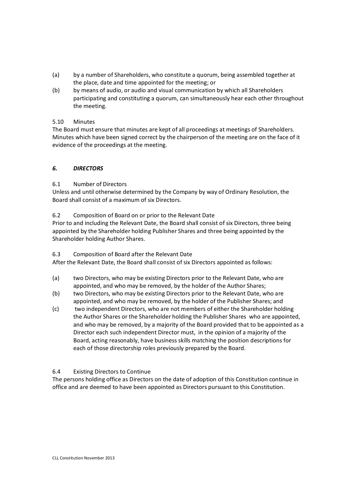- (a) by a number of Shareholders, who constitute a quorum, being assembled together at the place, date and time appointed for the meeting; or
- (b) by means of audio, or audio and visual communication by which all Shareholders participating and constituting a quorum, can simultaneously hear each other throughout the meeting.

### 5.10 Minutes

The Board must ensure that minutes are kept of all proceedings at meetings of Shareholders. Minutes which have been signed correct by the chairperson of the meeting are on the face of it evidence of the proceedings at the meeting.

# *6. DIRECTORS*

### 6.1 Number of Directors

Unless and until otherwise determined by the Company by way of Ordinary Resolution, the Board shall consist of a maximum of six Directors.

#### 6.2 Composition of Board on or prior to the Relevant Date

Prior to and including the Relevant Date, the Board shall consist of six Directors, three being appointed by the Shareholder holding Publisher Shares and three being appointed by the Shareholder holding Author Shares.

#### 6.3 Composition of Board after the Relevant Date

After the Relevant Date, the Board shall consist of six Directors appointed as follows:

- (a) two Directors, who may be existing Directors prior to the Relevant Date, who are appointed, and who may be removed, by the holder of the Author Shares;
- (b) two Directors, who may be existing Directors prior to the Relevant Date, who are appointed, and who may be removed, by the holder of the Publisher Shares; and
- (c) two independent Directors, who are not members of either the Shareholder holding the Author Shares or the Shareholder holding the Publisher Shares who are appointed, and who may be removed, by a majority of the Board provided that to be appointed as a Director each such independent Director must, in the opinion of a majority of the Board, acting reasonably, have business skills matching the position descriptions for each of those directorship roles previously prepared by the Board.

# 6.4 Existing Directors to Continue

The persons holding office as Directors on the date of adoption of this Constitution continue in office and are deemed to have been appointed as Directors pursuant to this Constitution.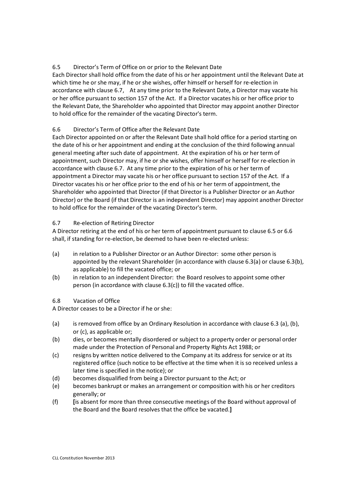# 6.5 Director's Term of Office on or prior to the Relevant Date

Each Director shall hold office from the date of his or her appointment until the Relevant Date at which time he or she may, if he or she wishes, offer himself or herself for re-election in accordance with clause 6.7, At any time prior to the Relevant Date, a Director may vacate his or her office pursuant to section 157 of the Act. If a Director vacates his or her office prior to the Relevant Date, the Shareholder who appointed that Director may appoint another Director to hold office for the remainder of the vacating Director's term.

# 6.6 Director's Term of Office after the Relevant Date

Each Director appointed on or after the Relevant Date shall hold office for a period starting on the date of his or her appointment and ending at the conclusion of the third following annual general meeting after such date of appointment. At the expiration of his or her term of appointment, such Director may, if he or she wishes, offer himself or herself for re-election in accordance with clause 6.7. At any time prior to the expiration of his or her term of appointment a Director may vacate his or her office pursuant to section 157 of the Act. If a Director vacates his or her office prior to the end of his or her term of appointment, the Shareholder who appointed that Director (if that Director is a Publisher Director or an Author Director) or the Board (if that Director is an independent Director) may appoint another Director to hold office for the remainder of the vacating Director's term.

# 6.7 Re-election of Retiring Director

A Director retiring at the end of his or her term of appointment pursuant to clause 6.5 or 6.6 shall, if standing for re-election, be deemed to have been re-elected unless:

- (a) in relation to a Publisher Director or an Author Director: some other person is appointed by the relevant Shareholder (in accordance with clause 6.3(a) or clause 6.3(b), as applicable) to fill the vacated office; or
- (b) in relation to an independent Director: the Board resolves to appoint some other person (in accordance with clause 6.3(c)) to fill the vacated office.

# 6.8 Vacation of Office

A Director ceases to be a Director if he or she:

- (a) is removed from office by an Ordinary Resolution in accordance with clause 6.3 (a), (b), or (c), as applicable or;
- (b) dies, or becomes mentally disordered or subject to a property order or personal order made under the Protection of Personal and Property Rights Act 1988; or
- (c) resigns by written notice delivered to the Company at its address for service or at its registered office (such notice to be effective at the time when it is so received unless a later time is specified in the notice); or
- (d) becomes disqualified from being a Director pursuant to the Act; or
- (e) becomes bankrupt or makes an arrangement or composition with his or her creditors generally; or
- (f) **[**is absent for more than three consecutive meetings of the Board without approval of the Board and the Board resolves that the office be vacated.**]**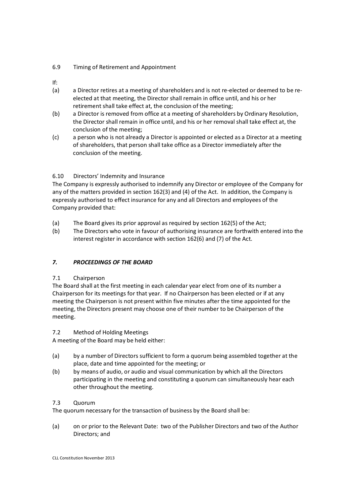### 6.9 Timing of Retirement and Appointment

- If:
- (a) a Director retires at a meeting of shareholders and is not re-elected or deemed to be reelected at that meeting, the Director shall remain in office until, and his or her retirement shall take effect at, the conclusion of the meeting;
- (b) a Director is removed from office at a meeting of shareholders by Ordinary Resolution, the Director shall remain in office until, and his or her removal shall take effect at, the conclusion of the meeting;
- (c) a person who is not already a Director is appointed or elected as a Director at a meeting of shareholders, that person shall take office as a Director immediately after the conclusion of the meeting.

# 6.10 Directors' Indemnity and Insurance

The Company is expressly authorised to indemnify any Director or employee of the Company for any of the matters provided in section 162(3) and (4) of the Act. In addition, the Company is expressly authorised to effect insurance for any and all Directors and employees of the Company provided that:

- (a) The Board gives its prior approval as required by section 162(5) of the Act;
- (b) The Directors who vote in favour of authorising insurance are forthwith entered into the interest register in accordance with section 162(6) and (7) of the Act.

# *7. PROCEEDINGS OF THE BOARD*

# 7.1 Chairperson

The Board shall at the first meeting in each calendar year elect from one of its number a Chairperson for its meetings for that year. If no Chairperson has been elected or if at any meeting the Chairperson is not present within five minutes after the time appointed for the meeting, the Directors present may choose one of their number to be Chairperson of the meeting.

# 7.2 Method of Holding Meetings

A meeting of the Board may be held either:

- (a) by a number of Directors sufficient to form a quorum being assembled together at the place, date and time appointed for the meeting; or
- (b) by means of audio, or audio and visual communication by which all the Directors participating in the meeting and constituting a quorum can simultaneously hear each other throughout the meeting.

# 7.3 Quorum

The quorum necessary for the transaction of business by the Board shall be:

(a) on or prior to the Relevant Date: two of the Publisher Directors and two of the Author Directors; and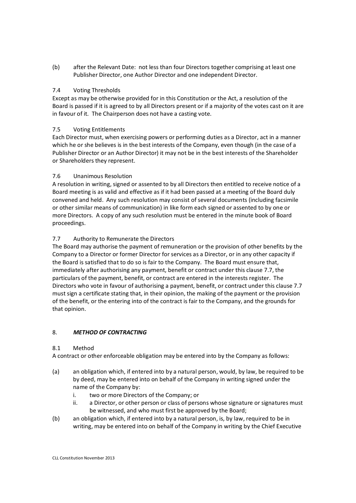(b) after the Relevant Date: not less than four Directors together comprising at least one Publisher Director, one Author Director and one independent Director.

### 7.4 Voting Thresholds

Except as may be otherwise provided for in this Constitution or the Act, a resolution of the Board is passed if it is agreed to by all Directors present or if a majority of the votes cast on it are in favour of it. The Chairperson does not have a casting vote.

### 7.5 Voting Entitlements

Each Director must, when exercising powers or performing duties as a Director, act in a manner which he or she believes is in the best interests of the Company, even though (in the case of a Publisher Director or an Author Director) it may not be in the best interests of the Shareholder or Shareholders they represent.

### 7.6 Unanimous Resolution

A resolution in writing, signed or assented to by all Directors then entitled to receive notice of a Board meeting is as valid and effective as if it had been passed at a meeting of the Board duly convened and held. Any such resolution may consist of several documents (including facsimile or other similar means of communication) in like form each signed or assented to by one or more Directors. A copy of any such resolution must be entered in the minute book of Board proceedings.

# 7.7 Authority to Remunerate the Directors

The Board may authorise the payment of remuneration or the provision of other benefits by the Company to a Director or former Director for services as a Director, or in any other capacity if the Board is satisfied that to do so is fair to the Company. The Board must ensure that, immediately after authorising any payment, benefit or contract under this clause 7.7, the particulars of the payment, benefit, or contract are entered in the interests register. The Directors who vote in favour of authorising a payment, benefit, or contract under this clause 7.7 must sign a certificate stating that, in their opinion, the making of the payment or the provision of the benefit, or the entering into of the contract is fair to the Company, and the grounds for that opinion.

#### 8. *METHOD OF CONTRACTING*

#### 8.1 Method

A contract or other enforceable obligation may be entered into by the Company as follows:

- (a) an obligation which, if entered into by a natural person, would, by law, be required to be by deed, may be entered into on behalf of the Company in writing signed under the name of the Company by:
	- i. two or more Directors of the Company; or
	- ii. a Director, or other person or class of persons whose signature or signatures must be witnessed, and who must first be approved by the Board;
- (b) an obligation which, if entered into by a natural person, is, by law, required to be in writing, may be entered into on behalf of the Company in writing by the Chief Executive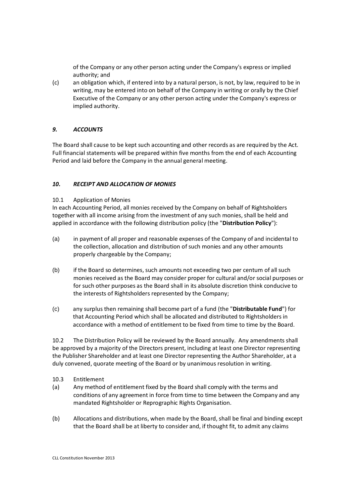of the Company or any other person acting under the Company's express or implied authority; and

(c) an obligation which, if entered into by a natural person, is not, by law, required to be in writing, may be entered into on behalf of the Company in writing or orally by the Chief Executive of the Company or any other person acting under the Company's express or implied authority.

#### *9. ACCOUNTS*

The Board shall cause to be kept such accounting and other records as are required by the Act. Full financial statements will be prepared within five months from the end of each Accounting Period and laid before the Company in the annual general meeting.

### *10. RECEIPT AND ALLOCATION OF MONIES*

#### 10.1 Application of Monies

In each Accounting Period, all monies received by the Company on behalf of Rightsholders together with all income arising from the investment of any such monies, shall be held and applied in accordance with the following distribution policy (the "**Distribution Policy**"):

- (a) in payment of all proper and reasonable expenses of the Company of and incidental to the collection, allocation and distribution of such monies and any other amounts properly chargeable by the Company;
- (b) if the Board so determines, such amounts not exceeding two per centum of all such monies received as the Board may consider proper for cultural and/or social purposes or for such other purposes as the Board shall in its absolute discretion think conducive to the interests of Rightsholders represented by the Company;
- (c) any surplus then remaining shall become part of a fund (the "**Distributable Fund**") for that Accounting Period which shall be allocated and distributed to Rightsholders in accordance with a method of entitlement to be fixed from time to time by the Board.

10.2 The Distribution Policy will be reviewed by the Board annually. Any amendments shall be approved by a majority of the Directors present, including at least one Director representing the Publisher Shareholder and at least one Director representing the Author Shareholder, at a duly convened, quorate meeting of the Board or by unanimous resolution in writing.

- 10.3 Entitlement
- (a) Any method of entitlement fixed by the Board shall comply with the terms and conditions of any agreement in force from time to time between the Company and any mandated Rightsholder or Reprographic Rights Organisation.
- (b) Allocations and distributions, when made by the Board, shall be final and binding except that the Board shall be at liberty to consider and, if thought fit, to admit any claims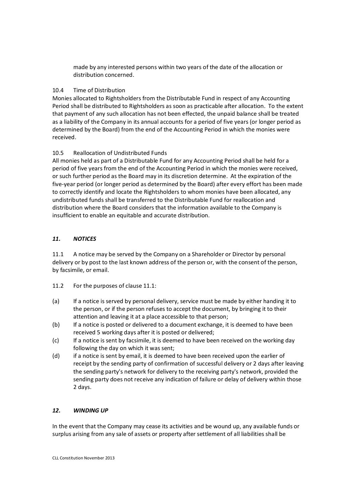made by any interested persons within two years of the date of the allocation or distribution concerned.

### 10.4 Time of Distribution

Monies allocated to Rightsholders from the Distributable Fund in respect of any Accounting Period shall be distributed to Rightsholders as soon as practicable after allocation. To the extent that payment of any such allocation has not been effected, the unpaid balance shall be treated as a liability of the Company in its annual accounts for a period of five years (or longer period as determined by the Board) from the end of the Accounting Period in which the monies were received.

# 10.5 Reallocation of Undistributed Funds

All monies held as part of a Distributable Fund for any Accounting Period shall be held for a period of five years from the end of the Accounting Period in which the monies were received, or such further period as the Board may in its discretion determine. At the expiration of the five-year period (or longer period as determined by the Board) after every effort has been made to correctly identify and locate the Rightsholders to whom monies have been allocated, any undistributed funds shall be transferred to the Distributable Fund for reallocation and distribution where the Board considers that the information available to the Company is insufficient to enable an equitable and accurate distribution.

### *11. NOTICES*

11.1 A notice may be served by the Company on a Shareholder or Director by personal delivery or by post to the last known address of the person or, with the consent of the person, by facsimile, or email.

- 11.2 For the purposes of clause 11.1:
- (a) If a notice is served by personal delivery, service must be made by either handing it to the person, or if the person refuses to accept the document, by bringing it to their attention and leaving it at a place accessible to that person;
- (b) If a notice is posted or delivered to a document exchange, it is deemed to have been received 5 working days after it is posted or delivered;
- (c) If a notice is sent by facsimile, it is deemed to have been received on the working day following the day on which it was sent;
- (d) if a notice is sent by email, it is deemed to have been received upon the earlier of receipt by the sending party of confirmation of successful delivery or 2 days after leaving the sending party's network for delivery to the receiving party's network, provided the sending party does not receive any indication of failure or delay of delivery within those 2 days.

#### *12. WINDING UP*

In the event that the Company may cease its activities and be wound up, any available funds or surplus arising from any sale of assets or property after settlement of all liabilities shall be